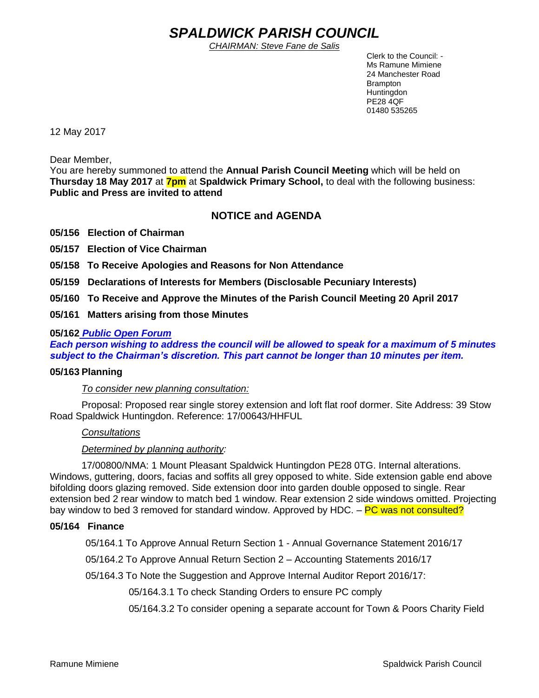# *SPALDWICK PARISH COUNCIL*

*CHAIRMAN: Steve Fane de Salis*

 Clerk to the Council: - Ms Ramune Mimiene 24 Manchester Road Brampton **Huntingdon** PE28 4QF 01480 535265

12 May 2017

Dear Member,

You are hereby summoned to attend the **Annual Parish Council Meeting** which will be held on **Thursday 18 May 2017** at **7pm** at **Spaldwick Primary School,** to deal with the following business: **Public and Press are invited to attend**

## **NOTICE and AGENDA**

**05/156 Election of Chairman**

**05/157 Election of Vice Chairman**

**05/158 To Receive Apologies and Reasons for Non Attendance**

**05/159 Declarations of Interests for Members (Disclosable Pecuniary Interests)**

**05/160 To Receive and Approve the Minutes of the Parish Council Meeting 20 April 2017**

**05/161 Matters arising from those Minutes**

#### **05/162** *Public Open Forum*

*Each person wishing to address the council will be allowed to speak for a maximum of 5 minutes subject to the Chairman's discretion. This part cannot be longer than 10 minutes per item.* 

#### **05/163 Planning**

*To consider new planning consultation:* 

Proposal: Proposed rear single storey extension and loft flat roof dormer. Site Address: 39 Stow Road Spaldwick Huntingdon. Reference: 17/00643/HHFUL

#### *Consultations*

#### *Determined by planning authority:*

17/00800/NMA: 1 Mount Pleasant Spaldwick Huntingdon PE28 0TG. Internal alterations. Windows, guttering, doors, facias and soffits all grey opposed to white. Side extension gable end above bifolding doors glazing removed. Side extension door into garden double opposed to single. Rear extension bed 2 rear window to match bed 1 window. Rear extension 2 side windows omitted. Projecting bay window to bed 3 removed for standard window. Approved by HDC. – PC was not consulted?

#### **05/164 Finance**

05/164.1 To Approve Annual Return Section 1 - Annual Governance Statement 2016/17

05/164.2 To Approve Annual Return Section 2 – Accounting Statements 2016/17

05/164.3 To Note the Suggestion and Approve Internal Auditor Report 2016/17:

05/164.3.1 To check Standing Orders to ensure PC comply

05/164.3.2 To consider opening a separate account for Town & Poors Charity Field